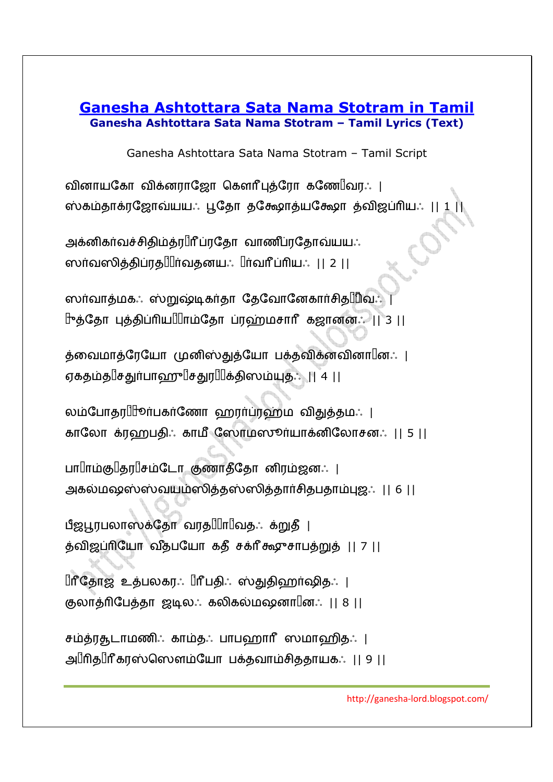## **Ganesha Ashtottara Sata Nama Stotram in Tamil Ganesha Ashtottara Sata Nama Stotram – Tamil Lyrics (Text)**

Ganesha Ashtottara Sata Nama Stotram – Tamil Script

வினாயகோ விக்னராஜோ கௌரீபுத்ரோ கணே $\mathbb{I}$ வர $: \ \mathsf{I}$ ஸ்கம்தாக்ரஜோவ்யயஃ பூதோ தக்ஷோத்யக்ஷோ த்விஜப்ரியஃ || 1 ||

அகனிகாவச்சிதிமதர⊔்ர் பரதோ வாணப்ரதோவயயஃ ஸா்வஸித்திப்ரத||||ா்வதனயஃ ||ா்வாீ் ப்ாியஃ || 2 || |

ஸர்வாத்மகஃ ஸ்றுஷ்டிகர்தா தேவோனேகார்சிதுபிவஃ 1ுத்தோ புத்திப்ரியШாம்தோ ப்ரஹ்மசாரீ கஜானனஃ || 3 ||

த்வைமாத்ரேயோ முனிஸ்துத்யோ பக்தவிக்னவினா $\mathbin{\mathbb{I}}$ ன $\colon\mathbin{\mathsf{I}}$ ஏகதம்த||சதுர்பாஹு||சதுர||||க்திஸம்யுத.: || 4 ||

லம்போதர $\mathop{\text{llip}}$ ாபகாணோ ஹராப்ரஹ்ம விதுத்தம $: \; \; \mid$ காலோ க்ரஹபதிஃ காமீ ஸோமஸூர்யாக்னிலோசனஃ || 5 ||

பா⊔ாம்கு⊔தர⊔சம்டோ குணாத்தோ னிரம்ஜனஃ | அகல்மஷஸ்ஸ்வயம்ஸித்தஸ்ஸித்தார்சிதபதாம்புஜஃ || 6 ||

பீஜபூரபலாஸக்தோ வரத⊞ா!!வத∴ க்றுத் | த்விஜப்ரியோ வீத்பயோ கதீ சக்ரீகூசுாபத்றுத் || 7 ||

ப்ரீதோஜ் உத்பலகரஃ ப்ரீபதிஃ ஸ்துதிஹா்ஷிதஃ | குலாத்ரிபேத்தா ஜடிலஃ கலிகல்மஷனா $\mathbb{I}$ னஃ || 8 ||

சம்த்ரதுடாமணிஃ காம்தஃ பாபஹாரீ ஸமாஹிதஃ | அ||ரித||ரீ கரஸ்ஸெளம்யோ பக்தவாம்சிததாயகஃ || 9 ||